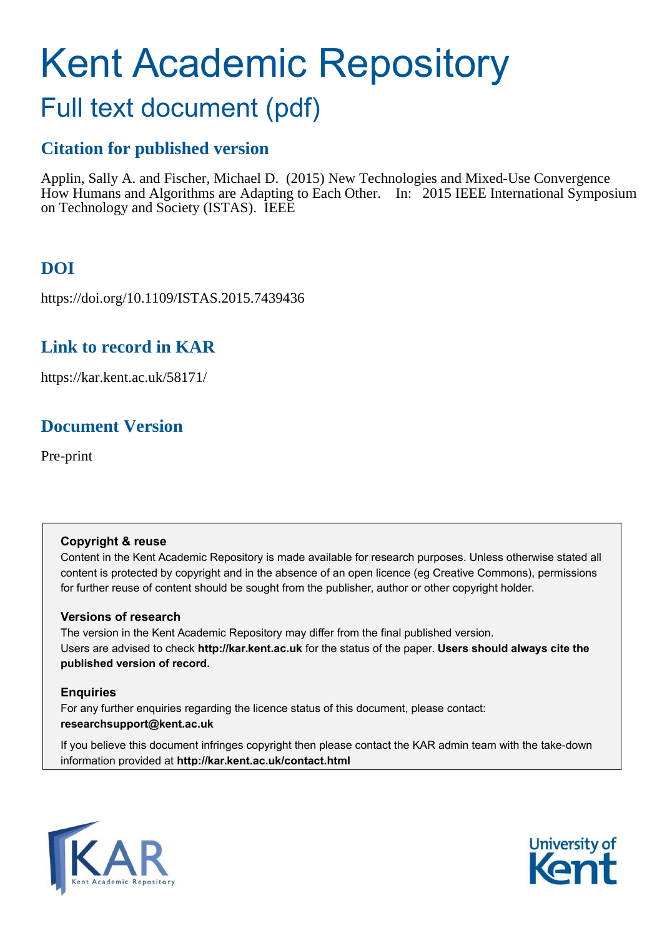# Kent Academic Repository

## Full text document (pdf)

### **Citation for published version**

Applin, Sally A. and Fischer, Michael D. (2015) New Technologies and Mixed-Use Convergence How Humans and Algorithms are Adapting to Each Other. In: 2015 IEEE International Symposium on Technology and Society (ISTAS). IEEE

## **DOI**

https://doi.org/10.1109/ISTAS.2015.7439436

### **Link to record in KAR**

https://kar.kent.ac.uk/58171/

## **Document Version**

Pre-print

#### **Copyright & reuse**

Content in the Kent Academic Repository is made available for research purposes. Unless otherwise stated all content is protected by copyright and in the absence of an open licence (eg Creative Commons), permissions for further reuse of content should be sought from the publisher, author or other copyright holder.

#### **Versions of research**

The version in the Kent Academic Repository may differ from the final published version. Users are advised to check **http://kar.kent.ac.uk** for the status of the paper. **Users should always cite the published version of record.**

#### **Enquiries**

For any further enquiries regarding the licence status of this document, please contact: **researchsupport@kent.ac.uk**

If you believe this document infringes copyright then please contact the KAR admin team with the take-down information provided at **http://kar.kent.ac.uk/contact.html**



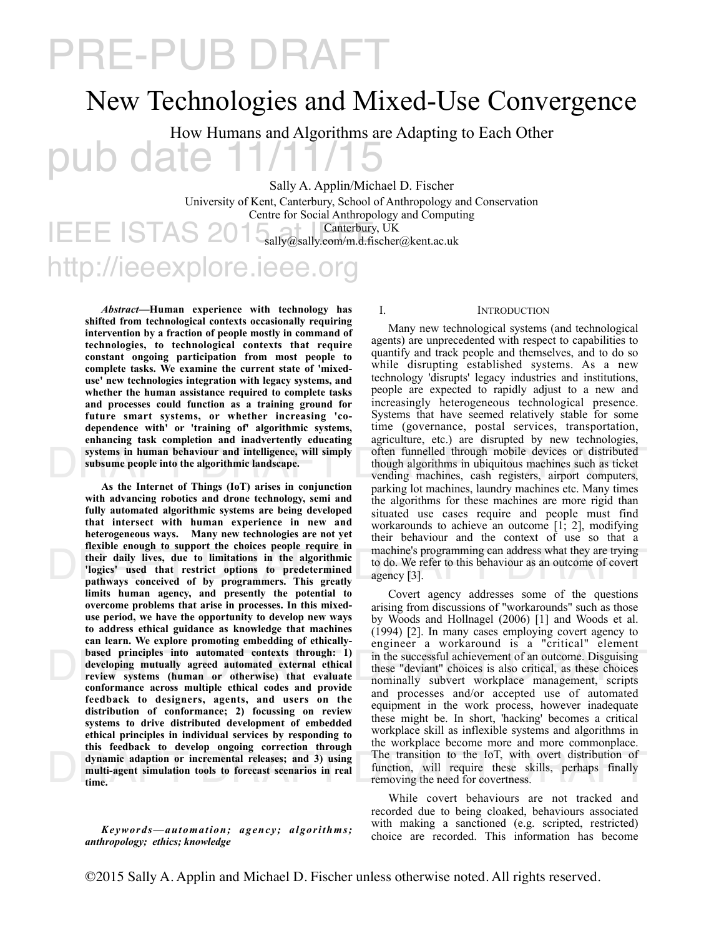## PRE-PUB DRAFT

## New Technologies and Mixed-Use Convergence

pub date 11/11/15 How Humans and Algorithms are Adapting to Each Other

Sally A. Applin/Michael D. Fischer

**IEEE ISTAS** http://ieeexplore.ieee.org University of Kent, Canterbury, School of Anthropology and Conservation Centre for Social Anthropology and Computing Canterbury, UK sally@sally.com/m.d.fischer@kent.ac.uk

*Abstract***—Human experience with technology has shifted from technological contexts occasionally requiring intervention by a fraction of people mostly in command of technologies, to technological contexts that require constant ongoing participation from most people to complete tasks. We examine the current state of 'mixeduse' new technologies integration with legacy systems, and whether the human assistance required to complete tasks and processes could function as a training ground for future smart systems, or whether increasing 'codependence with' or 'training of' algorithmic systems, enhancing task completion and inadvertently educating systems in human behaviour and intelligence, will simply subsume people into the algorithmic landscape.**

machine's programming can address what they are trying<br>their daily lives, due to limitations in the algorithmic<br>pathways conceived of by programmers. This greatly<br>pathways conceived of by programmers. This greatly dynamic adaption or incremental releases; and 3) using<br>multi-agent simulation tools to forecast scenarios in real<br>time.<br>moving the need for covertness. **As the Internet of Things (IoT) arises in conjunction with advancing robotics and drone technology, semi and fully automated algorithmic systems are being developed that intersect with human experience in new and heterogeneous ways. Many new technologies are not yet flexible enough to support the choices people require in their daily lives, due to limitations in the algorithmic 'logics' used that restrict options to predetermined pathways conceived of by programmers. This greatly limits human agency, and presently the potential to overcome problems that arise in processes. In this mixeduse period, we have the opportunity to develop new ways to address ethical guidance as knowledge that machines can learn. We explore promoting embedding of ethicallybased principles into automated contexts through: 1) developing mutually agreed automated external ethical review systems (human or otherwise) that evaluate conformance across multiple ethical codes and provide feedback to designers, agents, and users on the distribution of conformance; 2) focussing on review systems to drive distributed development of embedded ethical principles in individual services by responding to this feedback to develop ongoing correction through dynamic adaption or incremental releases; and 3) using multi-agent simulation tools to forecast scenarios in real time.** 

*Keywords—automation; agency; algorithms; anthropology; ethics; knowledge*

#### I. INTRODUCTION

systems in human behaviour and intelligence, will simply<br>subsume people into the algorithmic landscape.<br>though algorithms in ubiquitous machines such as ticket<br>vending machines, cash registers, airport computers,<br> $\Lambda$ s the Many new technological systems (and technological agents) are unprecedented with respect to capabilities to quantify and track people and themselves, and to do so while disrupting established systems. As a new technology 'disrupts' legacy industries and institutions, people are expected to rapidly adjust to a new and increasingly heterogeneous technological presence. Systems that have seemed relatively stable for some time (governance, postal services, transportation, agriculture, etc.) are disrupted by new technologies, though algorithms in ubiquitous machines such as ticket vending machines, cash registers, airport computers, parking lot machines, laundry machines etc. Many times the algorithms for these machines are more rigid than situated use cases require and people must find workarounds to achieve an outcome [1; 2], modifying their behaviour and the context of use so that a machine's programming can address what they are trying to do. We refer to this behaviour as an outcome of covert agency [3].

based principles into automated contexts through: 1) in the successful achievement of an outcome. Disguising<br>developing mutually agreed automated external ethical<br>review systems (human or otherwise) that evaluate<br>conforman Covert agency addresses some of the questions arising from discussions of "workarounds" such as those by Woods and Hollnagel (2006) [1] and Woods et al. (1994) [2]. In many cases employing covert agency to engineer a workaround is a "critical" element these "deviant" choices is also critical, as these choices nominally subvert workplace management, scripts and processes and/or accepted use of automated equipment in the work process, however inadequate these might be. In short, 'hacking' becomes a critical workplace skill as inflexible systems and algorithms in the workplace become more and more commonplace. function, will require these skills, perhaps finally removing the need for covertness.

> While covert behaviours are not tracked and recorded due to being cloaked, behaviours associated with making a sanctioned (e.g. scripted, restricted) choice are recorded. This information has become

©2015 Sally A. Applin and Michael D. Fischer unless otherwise noted. All rights reserved.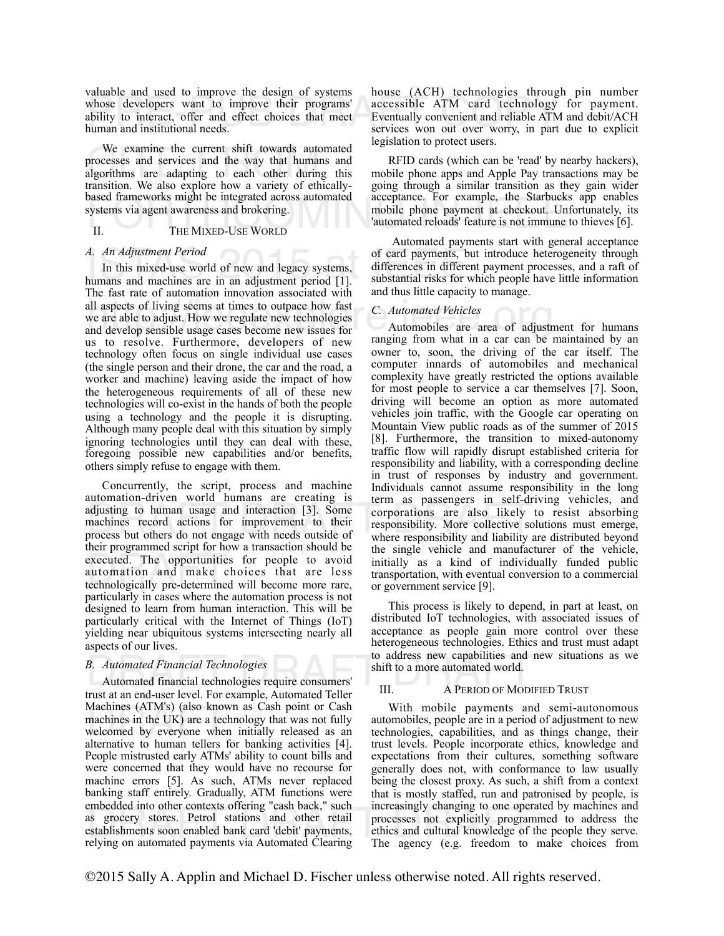whose developers want to improve the design of systems<br>whose developers want to improve their programs' accessible ATM card technology for pay<br>ability to interact, offer and effect choices that meet<br>human and institutional valuable and used to improve the design of systems ability to interact, offer and effect choices that meet human and institutional needs.

We examine the current shift towards auto<br>processes and services and the way that humail<br>algorithms are adapting to each other during<br>transition. We also explore how a variety of eth We examine the current shift towards automated processes and services and the way that humans and algorithms are adapting to each other during this transition. We also explore how a variety of ethicallybased frameworks might be integrated across automated systems via agent awareness and brokering.

#### II. THE MIXED-USE WORLD

#### *A. An Adjustment Period*

A. An Adjustment Period of new and legacy systems, differences in different humans and machines are in an adjustment period [1]. Substantial risks for wh all aspects of living seems at times to outpace how fast<br>we are able to adjust. How we regulate new technologies<br>and develop sensible usage cases become new issues for<br>ranging from what in a car can be a In this mixed-use world of new and legacy systems, The fast rate of automation innovation associated with we are able to adjust. How we regulate new technologies and develop sensible usage cases become new issues for us to resolve. Furthermore, developers of new technology often focus on single individual use cases (the single person and their drone, the car and the road, a worker and machine) leaving aside the impact of how the heterogeneous requirements of all of these new technologies will co-exist in the hands of both the people using a technology and the people it is disrupting. Although many people deal with this situation by simply ignoring technologies until they can deal with these, foregoing possible new capabilities and/or benefits, others simply refuse to engage with them.

adjusting to human usage and interaction [3]. Some corporations are also likely to machines record actions for improvement to their responsibility. More collective solu process but others do not engage with needs outside o executed. The opportunities for people to avoid<br>automation and make choices that are less<br>technologically pre-determined will become more rare, Concurrently, the script, process and machine automation-driven world humans are creating is machines record actions for improvement to their process but others do not engage with needs outside of their programmed script for how a transaction should be automation and make choices that are less technologically pre-determined will become more rare, particularly in cases where the automation process is not designed to learn from human interaction. This will be particularly critical with the Internet of Things (IoT) yielding near ubiquitous systems intersecting nearly all aspects of our lives.

#### *B. Automated Financial Technologies*

B. Automated Financial Technologies<br>
Automated financial technologies require consumers'<br>
Experience of the consumers' III. A PERIOD OF MODIFII Machines (ATM's) (also know<br>machines in the UK) are a tec<br>welcomed by everyone when<br>alternative to human tellers 1 embedded into other contexts offering cash back, such increasingly changing to one operate<br>as grocery stores. Petrol stations and other retail processes not explicitly programm<br>establishments soon enabled bank card 'debit' trust at an end-user level. For example, Automated Teller Machines (ATM's) (also known as Cash point or Cash machines in the UK) are a technology that was not fully welcomed by everyone when initially released as an alternative to human tellers for banking activities [4]. People mistrusted early ATMs' ability to count bills and were concerned that they would have no recourse for machine errors [5]. As such, ATMs never replaced banking staff entirely. Gradually, ATM functions were embedded into other contexts offering "cash back," such establishments soon enabled bank card 'debit' payments, relying on automated payments via Automated Clearing

house (ACH) technologies through pin number accessible ATM card technology for payment. Eventually convenient and reliable ATM and debit/ACH services won out over worry, in part due to explicit legislation to protect users.

based frameworks might be integrated across automated acceptance. For example, the Starbucks app enables<br>systems via agent awareness and brokering.<br>II. THE MIXED-USE WORLD THE MIXED-USE WORLD RFID cards (which can be 'read' by nearby hackers), mobile phone apps and Apple Pay transactions may be going through a similar transition as they gain wider acceptance. For example, the Starbucks app enables 'automated reloads' feature is not immune to thieves [6].

 Automated payments start with general acceptance of card payments, but introduce heterogeneity through differences in different payment processes, and a raft of substantial risks for which people have little information and thus little capacity to manage.

#### *C. Automated Vehicles*

Automobiles are area of adjustment for humans ranging from what in a car can be maintained by an owner to, soon, the driving of the car itself. The computer innards of automobiles and mechanical complexity have greatly restricted the options available for most people to service a car themselves [7]. Soon, driving will become an option as more automated vehicles join traffic, with the Google car operating on Mountain View public roads as of the summer of 2015 [8]. Furthermore, the transition to mixed-autonomy traffic flow will rapidly disrupt established criteria for responsibility and liability, with a corresponding decline in trust of responses by industry and government. Individuals cannot assume responsibility in the long term as passengers in self-driving vehicles, and corporations are also likely to resist absorbing responsibility. More collective solutions must emerge, where responsibility and liability are distributed beyond the single vehicle and manufacturer of the vehicle, initially as a kind of individually funded public transportation, with eventual conversion to a commercial or government service [9].

This process is likely to depend, in part at least, on distributed IoT technologies, with associated issues of acceptance as people gain more control over these heterogeneous technologies. Ethics and trust must adapt to address new capabilities and new situations as we shift to a more automated world.

#### III. A PERIOD OF MODIFIED TRUST

With mobile payments and semi-autonomous automobiles, people are in a period of adjustment to new technologies, capabilities, and as things change, their trust levels. People incorporate ethics, knowledge and expectations from their cultures, something software generally does not, with conformance to law usually being the closest proxy. As such, a shift from a context that is mostly staffed, run and patronised by people, is increasingly changing to one operated by machines and processes not explicitly programmed to address the ethics and cultural knowledge of the people they serve. The agency (e.g. freedom to make choices from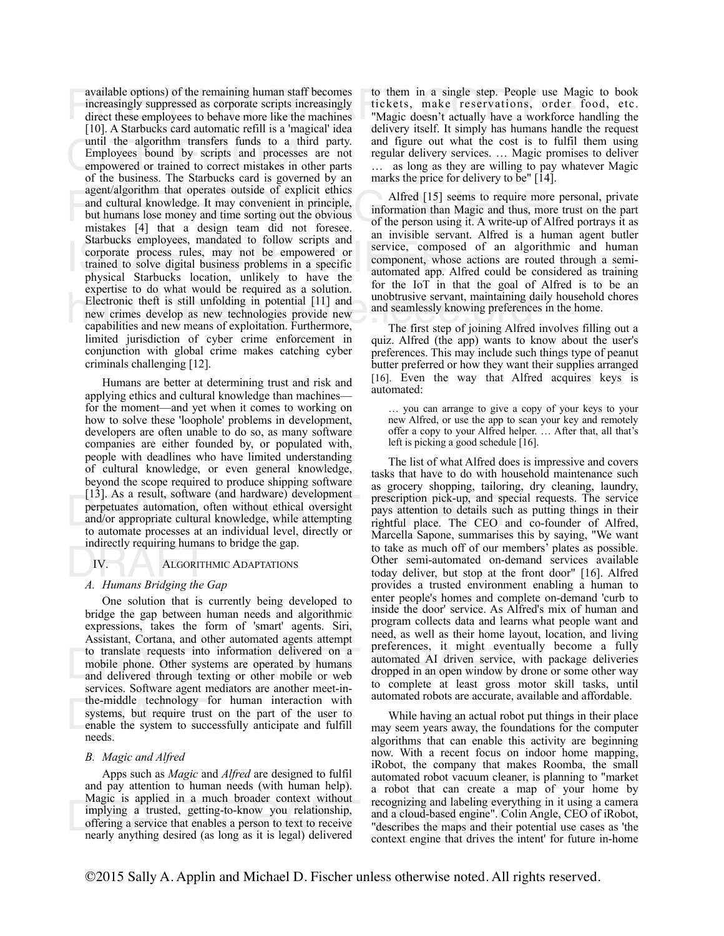available options) of the remaining human staff becomes<br>increasingly suppressed as corporate scripts increasingly<br>direct these employees to behave more like the machines<br>Factor of the magic doesn't actually have a workforc until the algorithm transfers funds to a t<br>Employees bound by scripts and processe<br>empowered or trained to correct mistakes in<br>of the business. The Starbucks card is governed agent/algorithm that operates outside of explicit ethics<br>and cultural knowledge. It may convenient in principle,<br>but humans lose money and time sorting out the obvious<br>mistakes [4] that a design team did not foresee of the Starbucks employees, mandated to follow scripts and<br>
corporate process rules, may not be empowered or<br>
trained to solve digital business problems in a specific<br>
physical Starbucks location, unlikely to have the<br>
automated Electronic theft is still unfolding in potential [11] and<br>
new crimes develop as new technologies provide new<br>
capabilities and new means of exploitation. Furthermore,<br>
The first step of joining Alfred available options) of the remaining human staff becomes increasingly suppressed as corporate scripts increasingly direct these employees to behave more like the machines [10]. A Starbucks card automatic refill is a 'magical' idea until the algorithm transfers funds to a third party. Employees bound by scripts and processes are not empowered or trained to correct mistakes in other parts of the business. The Starbucks card is governed by an agent/algorithm that operates outside of explicit ethics and cultural knowledge. It may convenient in principle, but humans lose money and time sorting out the obvious mistakes [4] that a design team did not foresee. Starbucks employees, mandated to follow scripts and trained to solve digital business problems in a specific physical Starbucks location, unlikely to have the expertise to do what would be required as a solution. new crimes develop as new technologies provide new capabilities and new means of exploitation. Furthermore, limited jurisdiction of cyber crime enforcement in conjunction with global crime makes catching cyber criminals challenging [12].

[15]. As a result, soliware (and nardware) development<br>perpetuates automation, often without ethical oversight<br>and/or appropriate cultural knowledge, while attempting<br>to automate processes at an individual level, directly Humans are better at determining trust and risk and applying ethics and cultural knowledge than machines for the moment—and yet when it comes to working on how to solve these 'loophole' problems in development, developers are often unable to do so, as many software companies are either founded by, or populated with, people with deadlines who have limited understanding of cultural knowledge, or even general knowledge, beyond the scope required to produce shipping software [13]. As a result, software (and hardware) development and/or appropriate cultural knowledge, while attempting to automate processes at an individual level, directly or indirectly requiring humans to bridge the gap.

#### IV. ALGORITHMIC ADAPTATIONS

# manectry requiring numans to<br>*IV.* ALGORITHMIC<br>*A. Humans Bridging the Gap*

to translate requests into information delivered on a<br>mobile phone. Other systems are operated by humans<br>and delivered through texting or other mobile or web<br>examines Section and through texting or other mobile or web<br>to c the-middle technology<br>systems, but require trus<br>enable the system to suce<br>needs One solution that is currently being developed to bridge the gap between human needs and algorithmic expressions, takes the form of 'smart' agents. Siri, Assistant, Cortana, and other automated agents attempt to translate requests into information delivered on a mobile phone. Other systems are operated by humans and delivered through texting or other mobile or web services. Software agent mediators are another meet-inthe-middle technology for human interaction with systems, but require trust on the part of the user to enable the system to successfully anticipate and fulfill needs.

#### *B. Magic and Alfred*

Magic is applied in a much broader context without<br>
implying a trusted, getting-to-know you relationship,<br>
offering a service that enables a person to text to receive<br>
mearly anything desired (as long as it is legal) deliv Apps such as *Magic* and *Alfred* are designed to fulfil and pay attention to human needs (with human help). Magic is applied in a much broader context without offering a service that enables a person to text to receive nearly anything desired (as long as it is legal) delivered

to them in a single step. People use Magic to book tickets, make reservations, order food, etc. "Magic doesn't actually have a workforce handling the delivery itself. It simply has humans handle the request and figure out what the cost is to fulfil them using regular delivery services. … Magic promises to deliver … as long as they are willing to pay whatever Magic marks the price for delivery to be"  $\lceil 14 \rceil$ .

Alfred [15] seems to require more personal, private information than Magic and thus, more trust on the part of the person using it. A write-up of Alfred portrays it as an invisible servant. Alfred is a human agent butler service, composed of an algorithmic and human component, whose actions are routed through a semiautomated app. Alfred could be considered as training for the IoT in that the goal of Alfred is to be an unobtrusive servant, maintaining daily household chores and seamlessly knowing preferences in the home.

The first step of joining Alfred involves filling out a quiz. Alfred (the app) wants to know about the user's preferences. This may include such things type of peanut butter preferred or how they want their supplies arranged [16]. Even the way that Alfred acquires keys is automated:

… you can arrange to give a copy of your keys to your new Alfred, or use the app to scan your key and remotely offer a copy to your Alfred helper. … After that, all that's left is picking a good schedule [16].

The list of what Alfred does is impressive and covers tasks that have to do with household maintenance such as grocery shopping, tailoring, dry cleaning, laundry, prescription pick-up, and special requests. The service pays attention to details such as putting things in their rightful place. The CEO and co-founder of Alfred, Marcella Sapone, summarises this by saying, "We want to take as much off of our members' plates as possible. Other semi-automated on-demand services available today deliver, but stop at the front door" [16]. Alfred provides a trusted environment enabling a human to enter people's homes and complete on-demand 'curb to inside the door' service. As Alfred's mix of human and program collects data and learns what people want and need, as well as their home layout, location, and living preferences, it might eventually become a fully automated AI driven service, with package deliveries dropped in an open window by drone or some other way to complete at least gross motor skill tasks, until automated robots are accurate, available and affordable.

While having an actual robot put things in their place may seem years away, the foundations for the computer algorithms that can enable this activity are beginning now. With a recent focus on indoor home mapping, iRobot, the company that makes Roomba, the small automated robot vacuum cleaner, is planning to "market a robot that can create a map of your home by recognizing and labeling everything in it using a camera and a cloud-based engine". Colin Angle, CEO of iRobot, "describes the maps and their potential use cases as 'the context engine that drives the intent' for future in-home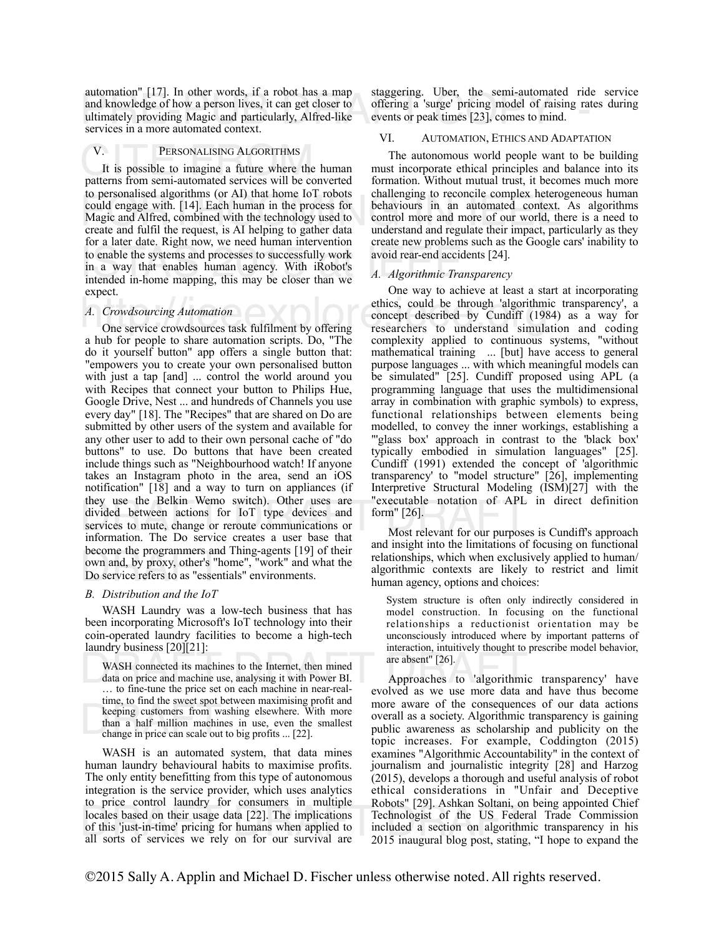automation  $\lfloor 17 \rfloor$ . In other words, it at foot has a map staggering. Ober, the semi-automated friet and knowledge of how a person lives, it can get closer to offering a 'surge' pricing model of raising rates ultimatel automation" [17]. In other words, if a robot has a map ultimately providing Magic and particularly, Alfred-like services in a more automated context.

## V. PERSONALISING ALGORITHMS<br>It is possible to imagine a future where the human<br>patterns from semi-automated services will be converted V. PERSONALISING ALGORITHMS

Fortune and more of the content of the content of the could engage with. [14]. Each human in the process for the behaviours in an automated context. A Magic and Alfred, combined with the technology used to control more and Is to enable the systems and processes to successfully work<br>in a way that enables human agency. With iRobot's<br>intended in-home mapping, this may be closer than we <br>A. Algorithmic Trans It is possible to imagine a future where the human to personalised algorithms (or AI) that home IoT robots Magic and Alfred, combined with the technology used to create and fulfil the request, is AI helping to gather data for a later date. Right now, we need human intervention to enable the systems and processes to successfully work in a way that enables human agency. With iRobot's intended in-home mapping, this may be closer than we expect.

#### *A. Crowdsourcing Automation*

they use the Belkin Wemo switch). Other uses are "executable notation of APL is<br>divided between actions for IoT type devices and form"[26].<br>services to mute, change or reroute communications or<br>information. The Do service become the programmers and Thing-agents [19] of their<br>own and, by proxy, other's "home", "work" and what the<br>Do service refers to as "essentials" environments. a hub for people to share automation scripts. Do, "The do it yourself button" app offers a single button that: "empowers you to create your own personalised button with just a tap [and] ... control the world around you with Recipes that connect your button to Philips Hue, Google Drive, Nest ... and hundreds of Channels you use every day" [18]. The "Recipes" that are shared on Do are submitted by other users of the system and available for any other user to add to their own personal cache of "do buttons" to use. Do buttons that have been created include things such as "Neighbourhood watch! If anyone takes an Instagram photo in the area, send an iOS notification" [18] and a way to turn on appliances (if they use the Belkin Wemo switch). Other uses are services to mute, change or reroute communications or information. The Do service creates a user base that become the programmers and Thing-agents [19] of their Do service refers to as "essentials" environments.

#### *B. Distribution and the IoT*

WASH Laundry was a low-tech business that has been incorporating Microsoft's IoT technology into their coin-operated laundry facilities to become a high-tech laundry business [20][21]:

machines passiness passiness passiness passiness passiness passiness in the mined<br>data on price and machine use, analysing it with Power BI.<br>to fine-tune the price set on each machine in near-real-<br>evolved as we use more d the week spot between maximising profit and<br>keeping customers from washing elsewhere. With more<br>than a half million machines in use, even the smallest<br>change in price can scale out to big profits ... [22]. WASH connected its machines to the Internet, then mined … to fine-tune the price set on each machine in near-realtime, to find the sweet spot between maximising profit and than a half million machines in use, even the smallest change in price can scale out to big profits ... [22].

The control radial of their usage data [22]. The implications<br>of this 'just-in-time' pricing for humans when applied to<br>all sorts of services we rely on for our survival are the 2015 inaugural blog post, stating, " WASH is an automated system, that data mines human laundry behavioural habits to maximise profits. The only entity benefitting from this type of autonomous integration is the service provider, which uses analytics to price control laundry for consumers in multiple locales based on their usage data [22]. The implications of this 'just-in-time' pricing for humans when applied to all sorts of services we rely on for our survival are

staggering. Uber, the semi-automated ride service offering a 'surge' pricing model of raising rates during events or peak times [23], comes to mind.

#### VI. AUTOMATION, ETHICS AND ADAPTATION

The autonomous world people want to be building must incorporate ethical principles and balance into its formation. Without mutual trust, it becomes much more challenging to reconcile complex heterogeneous human behaviours in an automated context. As algorithms control more and more of our world, there is a need to understand and regulate their impact, particularly as they create new problems such as the Google cars' inability to avoid rear-end accidents [24].

#### *A. Algorithmic Transparency*

A. Crowdsourcing Automation<br>
One service crowdsources task fulfilment by offering<br>
One service crowdsources task fulfilment by offering<br>
The concept described by Cundiff (198 One way to achieve at least a start at incorporating ethics, could be through 'algorithmic transparency', a concept described by Cundiff (1984) as a way for researchers to understand simulation and coding complexity applied to continuous systems, "without mathematical training ... [but] have access to general purpose languages ... with which meaningful models can be simulated" [25]. Cundiff proposed using APL (a programming language that uses the multidimensional array in combination with graphic symbols) to express, functional relationships between elements being modelled, to convey the inner workings, establishing a "'glass box' approach in contrast to the 'black box' typically embodied in simulation languages" [25]. Cundiff (1991) extended the concept of 'algorithmic transparency' to "model structure" [26], implementing Interpretive Structural Modeling (ISM)[27] with the "executable notation of APL in direct definition form" [26].

> Most relevant for our purposes is Cundiff's approach and insight into the limitations of focusing on functional relationships, which when exclusively applied to human/ algorithmic contexts are likely to restrict and limit human agency, options and choices:

System structure is often only indirectly considered in model construction. In focusing on the functional relationships a reductionist orientation may be unconsciously introduced where by important patterns of interaction, intuitively thought to prescribe model behavior, are absent" [26].

Approaches to 'algorithmic transparency' have evolved as we use more data and have thus become more aware of the consequences of our data actions overall as a society. Algorithmic transparency is gaining public awareness as scholarship and publicity on the topic increases. For example, Coddington (2015) examines "Algorithmic Accountability" in the context of journalism and journalistic integrity [28] and Harzog (2015), develops a thorough and useful analysis of robot ethical considerations in "Unfair and Deceptive Robots" [29]. Ashkan Soltani, on being appointed Chief Technologist of the US Federal Trade Commission included a section on algorithmic transparency in his 2015 inaugural blog post, stating, "I hope to expand the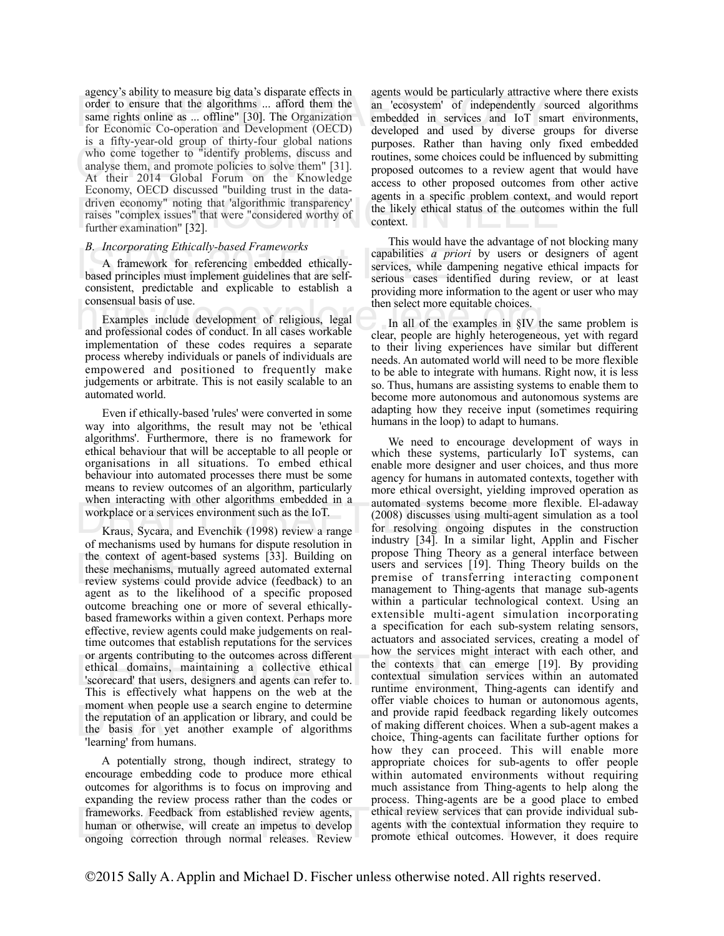order to ensure that the algorithms ... afford them the<br>same rights online as ... offline" [30]. The Organization<br>for Economic Co-operation and Development (OECD) developed and used by diverse groups for who come together to "identify problems, discuss and<br>analyse them, and promote policies to solve them" [31].<br>At their 2014 Global Forum on the Knowledge driven economy" noting that 'algorithmic transparency'<br>raises "complex issues" that were "considered worthy of the likely ethical status of the outcomes v<br>further examination" [32]. agency's ability to measure big data's disparate effects in same rights online as ... offline" [30]. The Organization for Economic Co-operation and Development (OECD) is a fifty-year-old group of thirty-four global nations analyse them, and promote policies to solve them" [31]. At their 2014 Global Forum on the Knowledge Economy, OECD discussed "building trust in the datadriven economy" noting that 'algorithmic transparency' raises "complex issues" that were "considered worthy of further examination" [32].

#### *B. Incorporating Ethically-based Frameworks*

B. Incorporating Einicary-based Frameworks<br>
A framework for referencing embedded ethically-<br>
based principles must implement guidelines that are self-<br>
consistent predictable and expliciable to establish a A framework for referencing embedded ethicallyconsistent, predictable and explicable to establish a consensual basis of use.

consensual basis of use.<br>
Examples include development of religious, legal and professional codes of conduct. In all cases workable clear, people are highly heterogened Examples include development of religious, legal implementation of these codes requires a separate process whereby individuals or panels of individuals are empowered and positioned to frequently make judgements or arbitrate. This is not easily scalable to an automated world.

Even if ethically-based 'rules' were converted in some way into algorithms, the result may not be 'ethical algorithms'. Furthermore, there is no framework for ethical behaviour that will be acceptable to all people or organisations in all situations. To embed ethical behaviour into automated processes there must be some means to review outcomes of an algorithm, particularly when interacting with other algorithms embedded in a workplace or a services environment such as the IoT.

the context of agent-based systems [33]. Building on<br>these mechanisms, mutually agreed automated external<br>review systems could provide advice (feedback) to an<br>general set to the likelihood of a specific proposed or argents contributing to the outcomes across different<br>
ethical domains, maintaining a collective ethical<br>
"Scorecard" that users, designers and agents can refer to.<br>
This is effectively what hannens on the web at the<br>
r moment when people use a search engine to determine<br>the reputation of an application or library, and could be<br>the basis for yet another example of algorithms<br>learning from humans. of mechanisms used by humans for dispute resolution in the context of agent-based systems [33]. Building on these mechanisms, mutually agreed automated external agent as to the likelihood of a specific proposed outcome breaching one or more of several ethicallybased frameworks within a given context. Perhaps more effective, review agents could make judgements on realtime outcomes that establish reputations for the services or argents contributing to the outcomes across different 'scorecard' that users, designers and agents can refer to. This is effectively what happens on the web at the moment when people use a search engine to determine the basis for yet another example of algorithms 'learning' from humans.

frameworks. Feedback from established review agents, ethical review services that can pi<br>human or otherwise, will create an impetus to develop agents with the contextual inform<br>ongoing correction through normal releases. R A potentially strong, though indirect, strategy to encourage embedding code to produce more ethical outcomes for algorithms is to focus on improving and expanding the review process rather than the codes or human or otherwise, will create an impetus to develop ongoing correction through normal releases. Review

agents would be particularly attractive where there exists an 'ecosystem' of independently sourced algorithms embedded in services and IoT smart environments, developed and used by diverse groups for diverse purposes. Rather than having only fixed embedded routines, some choices could be influenced by submitting proposed outcomes to a review agent that would have access to other proposed outcomes from other active agents in a specific problem context, and would report the likely ethical status of the outcomes within the full context.

This would have the advantage of not blocking many capabilities *a priori* by users or designers of agent services, while dampening negative ethical impacts for serious cases identified during review, or at least providing more information to the agent or user who may then select more equitable choices.

In all of the examples in §IV the same problem is clear, people are highly heterogeneous, yet with regard to their living experiences have similar but different needs. An automated world will need to be more flexible to be able to integrate with humans. Right now, it is less so. Thus, humans are assisting systems to enable them to become more autonomous and autonomous systems are adapting how they receive input (sometimes requiring humans in the loop) to adapt to humans.

When interacting with other algorithms embedded in a<br>workplace or a services environment such as the IoT. (2008) discusses using multi-agen<br>Kraus, Sycara, and Evenchik (1998) review a range for resolving ongoing disputes<br>i We need to encourage development of ways in which these systems, particularly IoT systems, can enable more designer and user choices, and thus more agency for humans in automated contexts, together with more ethical oversight, yielding improved operation as automated systems become more flexible. El-adaway (2008) discusses using multi-agent simulation as a tool for resolving ongoing disputes in the construction industry [34]. In a similar light, Applin and Fischer propose Thing Theory as a general interface between users and services [19]. Thing Theory builds on the premise of transferring interacting component management to Thing-agents that manage sub-agents within a particular technological context. Using an extensible multi-agent simulation incorporating a specification for each sub-system relating sensors, actuators and associated services, creating a model of how the services might interact with each other, and the contexts that can emerge [19]. By providing contextual simulation services within an automated runtime environment, Thing-agents can identify and offer viable choices to human or autonomous agents, and provide rapid feedback regarding likely outcomes of making different choices. When a sub-agent makes a choice, Thing-agents can facilitate further options for how they can proceed. This will enable more appropriate choices for sub-agents to offer people within automated environments without requiring much assistance from Thing-agents to help along the process. Thing-agents are be a good place to embed ethical review services that can provide individual subagents with the contextual information they require to promote ethical outcomes. However, it does require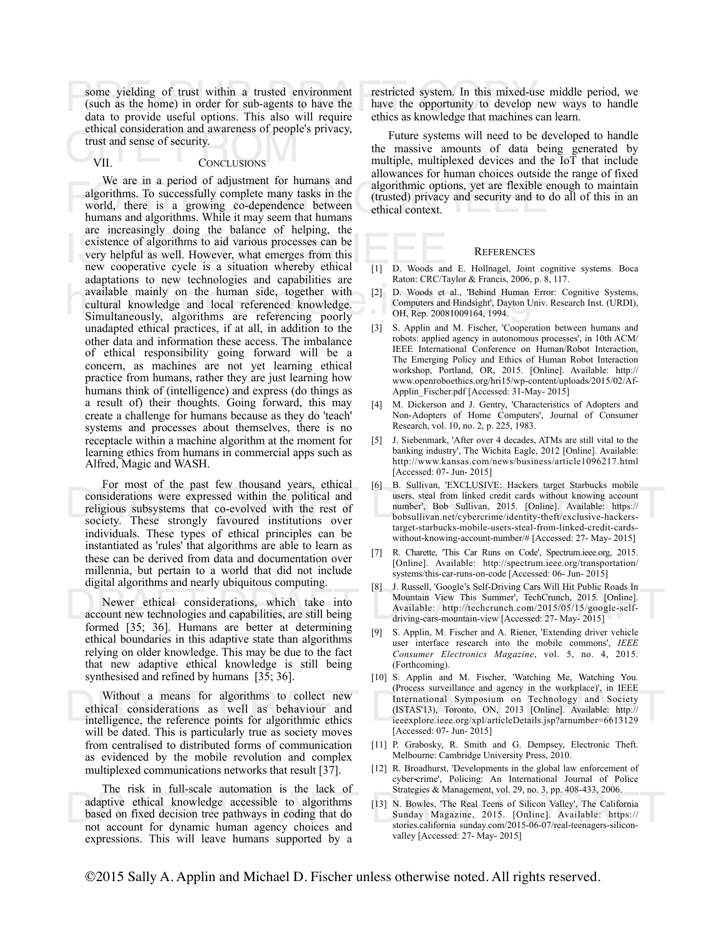some yielding of trust within a trusted environment<br>
(such as the home) in order for sub-agents to have the bave the opportunity to develop new ways<br>
data to provide useful options. This also will require ethics as knowled Function and awareness of people<br>trust and sense of security.<br>VII. CONCLUSIONS (such as the home) in order for sub-agents to have the data to provide useful options. This also will require ethical consideration and awareness of people's privacy,

#### VII. CONCLUSIONS

we are in a period of adjustment for numans and<br>algorithmic options, yet are flexible encessfully complete many tasks in the<br>world, there is a growing co-dependence between<br>humans and algorithms. While it may seem that hum ISTAS 2015 at Increasingly doing the balance of helping, the<br>
existence of algorithms to aid various processes can be<br>
very helpful as well. However, what emerges from this<br>
new cooperative cycle is a situation whereby eth available mainly on the human side, together with<br>
cultural knowledge and local referenced knowledge.<br>
Simultaneously, algorithms are referencing poorly<br>
OH, Rep. 20081009164, 1994. We are in a period of adjustment for humans and algorithms. To successfully complete many tasks in the world, there is a growing co-dependence between humans and algorithms. While it may seem that humans are increasingly doing the balance of helping, the existence of algorithms to aid various processes can be very helpful as well. However, what emerges from this adaptations to new technologies and capabilities are available mainly on the human side, together with cultural knowledge and local referenced knowledge. unadapted ethical practices, if at all, in addition to the other data and information these access. The imbalance of ethical responsibility going forward will be a concern, as machines are not yet learning ethical practice from humans, rather they are just learning how humans think of (intelligence) and express (do things as a result of) their thoughts. Going forward, this may create a challenge for humans because as they do 'teach' systems and processes about themselves, there is no receptacle within a machine algorithm at the moment for learning ethics from humans in commercial apps such as Alfred, Magic and WASH.

For most of the past few thousand years, edited to be been allowed to be a subject to the past few thousand years, tended to be been allowed to the political and<br>
religious subsystems that co-evolved with the rest of socie For most of the past few thousand years, ethical considerations were expressed within the political and religious subsystems that co-evolved with the rest of society. These strongly favoured institutions over individuals. These types of ethical principles can be instantiated as 'rules' that algorithms are able to learn as these can be derived from data and documentation over millennia, but pertain to a world that did not include digital algorithms and nearly ubiquitous computing.

Newer ethical considerations, which take into account new technologies and capabilities, are still being formed [35; 36]. Humans are better at determining ethical boundaries in this adaptive state than algorithms relying on older knowledge. This may be due to the fact that new adaptive ethical knowledge is still being synthesised and refined by humans [35; 36].

Without a means for algorithms to collect new ethical considerations as well as behaviour and intelligence, the reference points for algorithmic ethics will be dated. This is particularly true as society moves from centralised to distributed forms of communication as evidenced by the mobile revolution and complex multiplexed communications networks that result [37].

adaptive ethical knowledge accessible to algorithms<br>based on fixed decision tree pathways in coding that do<br>not account for dynamic human agency choices and<br>stories.california sunday.com/2015-06-07/real-teenagers-silicon-The risk in full-scale automation is the lack of based on fixed decision tree pathways in coding that do not account for dynamic human agency choices and expressions. This will leave humans supported by a

restricted system. In this mixed-use middle period, we have the opportunity to develop new ways to handle ethics as knowledge that machines can learn.

Future systems will need to be developed to handle the massive amounts of data being generated by multiple, multiplexed devices and the IoT that include allowances for human choices outside the range of fixed algorithmic options, yet are flexible enough to maintain (trusted) privacy and security and to do all of this in an ethical context.

#### **REFERENCES**

- [1] D. Woods and E. Hollnagel, Joint cognitive systems. Boca Raton: CRC/Taylor & Francis, 2006, p. 8, 117.
- [2] D. Woods et al., 'Behind Human Error: Cognitive Systems, Computers and Hindsight', Dayton Univ. Research Inst. (URDI), OH, Rep. 20081009164, 1994.
- [3] S. Applin and M. Fischer, 'Cooperation between humans and robots: applied agency in autonomous processes', in 10th ACM/ IEEE International Conference on Human/Robot Interaction, The Emerging Policy and Ethics of Human Robot Interaction workshop, Portland, OR, 2015. [Online]. Available: http:// www.openroboethics.org/hri15/wp-content/uploads/2015/02/Af-Applin Fischer.pdf [Accessed: 31-May- 2015]
- [4] M. Dickerson and J. Gentry, 'Characteristics of Adopters and Non-Adopters of Home Computers', Journal of Consumer Research, vol. 10, no. 2, p. 225, 1983.
- [5] J. Siebenmark, 'After over 4 decades, ATMs are still vital to the banking industry', The Wichita Eagle, 2012 [Online]. Available: http://www.kansas.com/news/business/article1096217.html [Accessed: 07- Jun- 2015]
- [6] B. Sullivan, 'EXCLUSIVE: Hackers target Starbucks mobile users, steal from linked credit cards without knowing account number', Bob Sullivan, 2015. [Online]. Available: https:// bobsullivan.net/cybercrime/identity-theft/exclusive-hackerstarget-starbucks-mobile-users-steal-from-linked-credit-cardswithout-knowing-account-number/# [Accessed: 27- May- 2015]
- [7] R. Charette, 'This Car Runs on Code', Spectrum.ieee.org, 2015. [Online]. Available: http://spectrum.ieee.org/transportation/ systems/this-car-runs-on-code [Accessed: 06- Jun- 2015]
- Newer ethical considerations, which take into<br>account new technologies and capabilities, are still being<br>formed [35: 36] Humans are better at determining [8] J. Russell, 'Google's Self-Driving Cars Will Hit Public Roads In Mountain View This Summer', TechCrunch, 2015. [Online]. Available: http://techcrunch.com/2015/05/15/google-selfdriving-cars-mountain-view [Accessed: 27- May- 2015]
	- [9] S. Applin, M. Fischer and A. Riener, 'Extending driver vehicle user interface research into the mobile commons', *IEEE Consumer Electronics Magazine*, vol. 5, no. 4, 2015. (Forthcoming).
- Without a means for algorithms to collect new<br>
ethical considerations as well as behaviour and<br>
international Symposium on Technology and Society<br>
international Symposium on Technology and Society<br>
international Symposium [10] S. Applin and M. Fischer, 'Watching Me, Watching You. (Process surveillance and agency in the workplace)', in IEEE International Symposium on Technology and Society (ISTAS'13), Toronto, ON, 2013 [Online]. Available: http:// ieeexplore.ieee.org/xpl/articleDetails.jsp?arnumber=6613129 [Accessed: 07- Jun- 2015]
	- [11] P. Grabosky, R. Smith and G. Dempsey, Electronic Theft. Melbourne: Cambridge University Press, 2010.
	- [12] R. Broadhurst, 'Developments in the global law enforcement of cyber‐crime', Policing: An International Journal of Police Strategies & Management, vol. 29, no. 3, pp. 408-433, 2006.
	- [13] N. Bowles, 'The Real Teens of Silicon Valley', The California Sunday Magazine, 2015. [Online]. Available: https:// stories.california sunday.com/2015-06-07/real-teenagers-siliconvalley [Accessed: 27- May- 2015]

©2015 Sally A. Applin and Michael D. Fischer unless otherwise noted. All rights reserved.